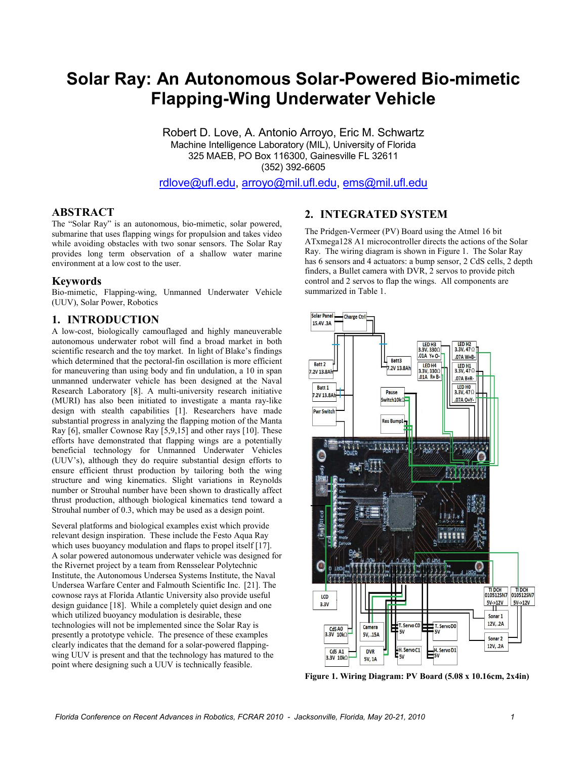## **Solar Ray: An Autonomous Solar Ray: An Autonomous Solar-Powered Bio Bio-mimetic Flapping-Wing Underwater Vehicle**

Robert D. Love Love, A. Antonio Arroyo, Eric M. Schwartz Machine Intelligence Laboratory (MIL), University of Florida hine Intelligence Laboratory (MIL), University of Flo<br>325 MAEB, PO Box 116300, Gainesville FL 32611 (352) 392-6605

[rdlove@ufl.edu](mailto:rdlove@ufl.edu) rdlove@ufl.edu, [arroyo@mil.ufl.edu](mailto:arroyo@mil.ufl.edu), [ems@mil.ufl.edu](mailto:ems@mil.ufl.edu)

#### **ABSTRACT**

The "Solar Ray" is an autonomous, bio-mimetic, solar powered, submarine that uses flapping wings for propulsion and takes video while avoiding obstacles with two sonar sensors. The Solar Ray provides long term observation of a shallow water marine environment at a low cost to the user.

#### **Keywords**

Bio-mimetic, Flapping-wing, Unmanned Underwater Vehicle Underwater Vehicle (UUV), Solar Power, Robotics

#### **1. INTRODUCTION**

A low-cost, biologically camouflaged and highly maneuverable autonomous underwater robot will find a broad market in both scientific research and the toy market. In light of Blake's findings findings which determined that the pectoral-fin oscillation is more efficient for maneuvering than using body and fin undulation, a 10 in span unmanned underwater vehicle has been designed at the Naval the Naval Research Laboratory [8]. A multi-university research initiative (MURI) has also been initiated to investigate a manta ray-like design with stealth capabilities [1]. Researchers have have made substantial progress in analyzing the flapping motion of the Manta Ray  $[6]$ , smaller Cownose Ray  $[5,9,15]$  and other rays  $[10]$ . These efforts have demonstrated that flapping wings are a potentially beneficial technology for Unmanned Underwater Vehicles (UUV's), although they do require substantial design efforts to ensure efficient thrust production by tailoring both the wing structure and wing kinematics. Slight variations in Reynolds number or Strouhal number have been shown to drastically affect thrust production, although biological kinematics tend toward a toward a Strouhal number of 0.3, which may be used as a design point.

Several platforms and biological examples exist which provide relevant design inspiration. These include the Festo Aqua Ray relevant design inspiration. These include the Festo Aqua Ray which uses buoyancy modulation and flaps to propel itself [17]. A solar powered autonomous underwater vehicle was designed for the Rivernet project by a team from Rensselear Polytechnic Institute, the Autonomous Undersea Systems Institute, the Naval Institute, the Autonomous Undersea Systems Institute, the Naval<br>Undersea Warfare Center and Falmouth Scientific Inc. [21]. The cownose rays at Florida Atlantic University also provide useful design guidance [18]. While a completely quiet design and one which utilized buoyancy modulation is desirable, these technologies will not be implemented since the Solar Ray is presently a prototype vehicle. The presence of these examples which utilized buoyancy modulation is desirable, these<br>technologies will not be implemented since the Solar Ray is<br>presently a prototype vehicle. The presence of these examples<br>clearly indicates that the demand for a solar wing UUV is present and that the technology has matured to the point where designing such a UUV is technically feasible.

The Pridgen-Vermeer (PV) Board using the Atmel 16 bit ATxmega128 A1 microcontroller directs the actions of the Solar Ray. The wiring diagram is shown in Figure 1 1. The Solar Ray has 6 sensors and 4 actuators: a bump sensor, 2 CdS cells, 2 depth finders, a Bullet camera with DVR, 2 servos to provide pitch finders, a Bullet camera with DVR, 2 servos to provide pitc control and 2 servos to flap the wings. All components are summarized in Table 1.



Figure 1. Wiring Diagram: PV Board (5.08 x 10.16cm, 2x4in)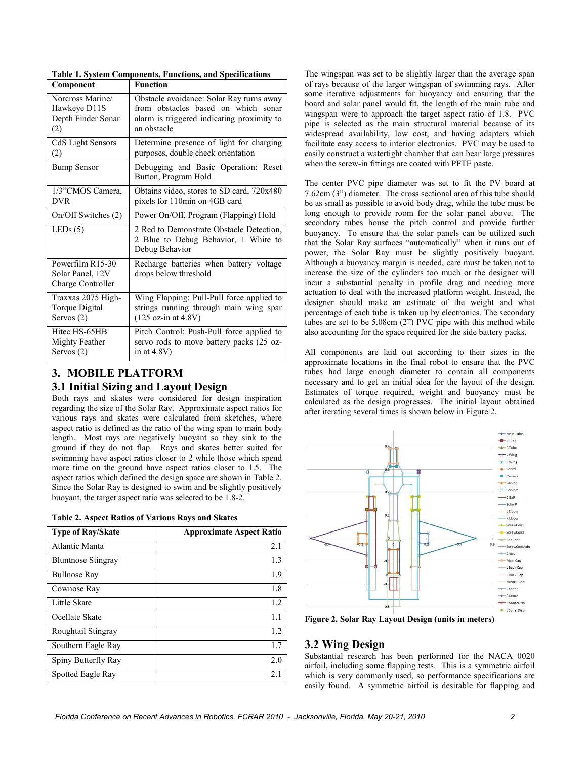| Component                                                        | <b>Function</b>                                                                                    |
|------------------------------------------------------------------|----------------------------------------------------------------------------------------------------|
| Norcross Marine/                                                 | Obstacle avoidance: Solar Ray turns away                                                           |
| Hawkeye D11S                                                     | from obstacles based on which sonar                                                                |
| Depth Finder Sonar                                               | alarm is triggered indicating proximity to                                                         |
| (2)                                                              | an obstacle                                                                                        |
| CdS Light Sensors                                                | Determine presence of light for charging                                                           |
| (2)                                                              | purposes, double check orientation                                                                 |
| <b>Bump Sensor</b>                                               | Debugging and Basic Operation: Reset<br>Button, Program Hold                                       |
| 1/3"CMOS Camera,                                                 | Obtains video, stores to SD card, 720x480                                                          |
| <b>DVR</b>                                                       | pixels for 110min on 4GB card                                                                      |
| On/Off Switches (2)                                              | Power On/Off, Program (Flapping) Hold                                                              |
| LEDs $(5)$                                                       | 2 Red to Demonstrate Obstacle Detection,<br>2 Blue to Debug Behavior, 1 White to<br>Debug Behavior |
| Powerfilm R15-30<br>Solar Panel, 12V<br><b>Charge Controller</b> | Recharge batteries when battery voltage<br>drops below threshold                                   |
| Traxxas 2075 High-                                               | Wing Flapping: Pull-Pull force applied to                                                          |
| Torque Digital                                                   | strings running through main wing spar                                                             |
| Servos $(2)$                                                     | $(125 \text{ oz-in at } 4.8 \text{V})$                                                             |
| Hitec HS-65HB                                                    | Pitch Control: Push-Pull force applied to                                                          |
| Mighty Feather                                                   | servo rods to move battery packs (25 oz-                                                           |
| Servos $(2)$                                                     | in at $4.8V$ )                                                                                     |

**Table 1. System Components, Functions, and Specifications** 

### **3. MOBILE PLATFORM**

#### **3.1 Initial Sizing and Layout Design**

Both rays and skates were considered for design inspiration regarding the size of the Solar Ray. Approximate aspect ratios for various rays and skates were calculated from sketches, where aspect ratio is defined as the ratio of the wing span to main body length. Most rays are negatively buoyant so they sink to the ground if they do not flap. Rays and skates better suited for swimming have aspect ratios closer to 2 while those which spend more time on the ground have aspect ratios closer to 1.5. The aspect ratios which defined the design space are shown in Table 2. Since the Solar Ray is designed to swim and be slightly positively buoyant, the target aspect ratio was selected to be 1.8-2.

|  |  | <b>Table 2. Aspect Ratios of Various Rays and Skates</b> |
|--|--|----------------------------------------------------------|
|  |  |                                                          |

| <b>Type of Ray/Skate</b>  | <b>Approximate Aspect Ratio</b> |
|---------------------------|---------------------------------|
| Atlantic Manta            | 2.1                             |
| <b>Bluntnose Stingray</b> | 1.3                             |
| <b>Bullnose Ray</b>       | 1.9                             |
| Cownose Ray               | 1.8                             |
| Little Skate              | 1.2                             |
| Ocellate Skate            | 11                              |
| Roughtail Stingray        | 1.2                             |
| Southern Eagle Ray        | 1.7                             |
| Spiny Butterfly Ray       | 2.0                             |
| Spotted Eagle Ray         | 2.1                             |

The wingspan was set to be slightly larger than the average span of rays because of the larger wingspan of swimming rays. After some iterative adjustments for buoyancy and ensuring that the board and solar panel would fit, the length of the main tube and wingspan were to approach the target aspect ratio of 1.8. PVC pipe is selected as the main structural material because of its widespread availability, low cost, and having adapters which facilitate easy access to interior electronics. PVC may be used to easily construct a watertight chamber that can bear large pressures when the screw-in fittings are coated with PFTE paste.

The center PVC pipe diameter was set to fit the PV board at 7.62cm (3") diameter. The cross sectional area of this tube should be as small as possible to avoid body drag, while the tube must be long enough to provide room for the solar panel above. The secondary tubes house the pitch control and provide further buoyancy. To ensure that the solar panels can be utilized such that the Solar Ray surfaces "automatically" when it runs out of power, the Solar Ray must be slightly positively buoyant. Although a buoyancy margin is needed, care must be taken not to increase the size of the cylinders too much or the designer will incur a substantial penalty in profile drag and needing more actuation to deal with the increased platform weight. Instead, the designer should make an estimate of the weight and what percentage of each tube is taken up by electronics. The secondary tubes are set to be  $5.08 \text{cm}$  (2") PVC pipe with this method while also accounting for the space required for the side battery packs.

All components are laid out according to their sizes in the approximate locations in the final robot to ensure that the PVC tubes had large enough diameter to contain all components necessary and to get an initial idea for the layout of the design. Estimates of torque required, weight and buoyancy must be calculated as the design progresses. The initial layout obtained after iterating several times is shown below in Figure 2.



**Figure 2. Solar Ray Layout Design (units in meters)**

#### **3.2 Wing Design**

Substantial research has been performed for the NACA 0020 airfoil, including some flapping tests. This is a symmetric airfoil which is very commonly used, so performance specifications are easily found. A symmetric airfoil is desirable for flapping and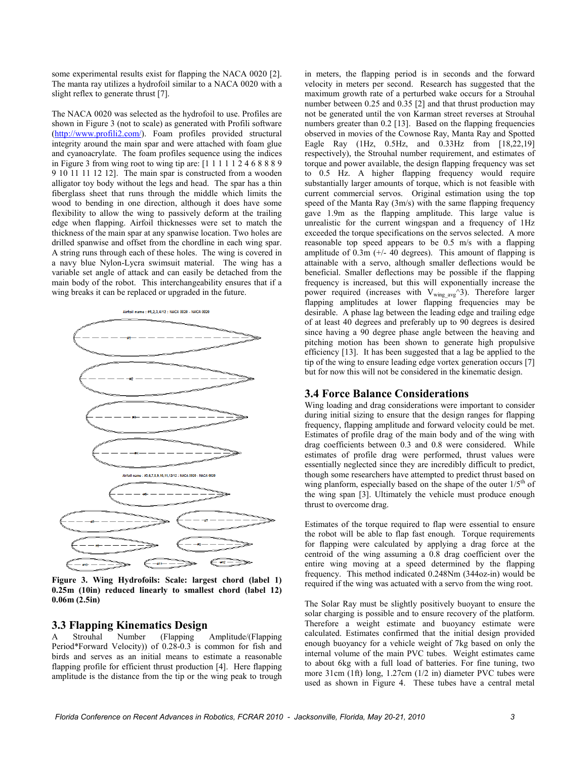some experimental results exist for flapping the NACA 0020 [2]. The manta ray utilizes a hydrofoil similar to a NACA 0020 with a slight reflex to generate thrust [7].

The NACA 0020 was selected as the hydrofoil to use. Profiles are shown in Figure 3 (not to scale) as generated with Profili software [\(http://www.profili2.com/\)](http://www.profili2.com/). Foam profiles provided structural integrity around the main spar and were attached with foam glue and cyanoacrylate. The foam profiles sequence using the indices in Figure 3 from wing root to wing tip are: [1 1 1 1 1 2 4 6 8 8 8 9 9 10 11 11 12 12]. The main spar is constructed from a wooden alligator toy body without the legs and head. The spar has a thin fiberglass sheet that runs through the middle which limits the wood to bending in one direction, although it does have some flexibility to allow the wing to passively deform at the trailing edge when flapping. Airfoil thicknesses were set to match the thickness of the main spar at any spanwise location. Two holes are drilled spanwise and offset from the chordline in each wing spar. A string runs through each of these holes. The wing is covered in a navy blue Nylon-Lycra swimsuit material. The wing has a variable set angle of attack and can easily be detached from the main body of the robot. This interchangeability ensures that if a wing breaks it can be replaced or upgraded in the future.



**Figure 3. Wing Hydrofoils: Scale: largest chord (label 1) 0.25m (10in) reduced linearly to smallest chord (label 12) 0.06m (2.5in)** 

# **3.3 Flapping Kinematics Design**

A Strouhal Number (Flapping Amplitude/(Flapping Period\*Forward Velocity)) of 0.28-0.3 is common for fish and birds and serves as an initial means to estimate a reasonable flapping profile for efficient thrust production [4]. Here flapping amplitude is the distance from the tip or the wing peak to trough

in meters, the flapping period is in seconds and the forward velocity in meters per second. Research has suggested that the maximum growth rate of a perturbed wake occurs for a Strouhal number between 0.25 and 0.35 [2] and that thrust production may not be generated until the von Karman street reverses at Strouhal numbers greater than 0.2 [13]. Based on the flapping frequencies observed in movies of the Cownose Ray, Manta Ray and Spotted Eagle Ray (1Hz, 0.5Hz, and 0.33Hz from [18,22,19] respectively), the Strouhal number requirement, and estimates of torque and power available, the design flapping frequency was set to 0.5 Hz. A higher flapping frequency would require substantially larger amounts of torque, which is not feasible with current commercial servos. Original estimation using the top speed of the Manta Ray (3m/s) with the same flapping frequency gave 1.9m as the flapping amplitude. This large value is unrealistic for the current wingspan and a frequency of 1Hz exceeded the torque specifications on the servos selected. A more reasonable top speed appears to be 0.5 m/s with a flapping amplitude of  $0.3m$  (+/- 40 degrees). This amount of flapping is attainable with a servo, although smaller deflections would be beneficial. Smaller deflections may be possible if the flapping frequency is increased, but this will exponentially increase the power required (increases with  $V_{wing\ avg}^{\sim}$ 3). Therefore larger flapping amplitudes at lower flapping frequencies may be desirable. A phase lag between the leading edge and trailing edge of at least 40 degrees and preferably up to 90 degrees is desired since having a 90 degree phase angle between the heaving and pitching motion has been shown to generate high propulsive efficiency [13]. It has been suggested that a lag be applied to the tip of the wing to ensure leading edge vortex generation occurs [7] but for now this will not be considered in the kinematic design.

#### **3.4 Force Balance Considerations**

Wing loading and drag considerations were important to consider during initial sizing to ensure that the design ranges for flapping frequency, flapping amplitude and forward velocity could be met. Estimates of profile drag of the main body and of the wing with drag coefficients between 0.3 and 0.8 were considered. While estimates of profile drag were performed, thrust values were essentially neglected since they are incredibly difficult to predict, though some researchers have attempted to predict thrust based on wing planform, especially based on the shape of the outer  $1/5<sup>th</sup>$  of the wing span [3]. Ultimately the vehicle must produce enough thrust to overcome drag.

Estimates of the torque required to flap were essential to ensure the robot will be able to flap fast enough. Torque requirements for flapping were calculated by applying a drag force at the centroid of the wing assuming a 0.8 drag coefficient over the entire wing moving at a speed determined by the flapping frequency. This method indicated 0.248Nm (344oz-in) would be required if the wing was actuated with a servo from the wing root.

The Solar Ray must be slightly positively buoyant to ensure the solar charging is possible and to ensure recovery of the platform. Therefore a weight estimate and buoyancy estimate were calculated. Estimates confirmed that the initial design provided enough buoyancy for a vehicle weight of 7kg based on only the internal volume of the main PVC tubes. Weight estimates came to about 6kg with a full load of batteries. For fine tuning, two more 31cm (1ft) long, 1.27cm (1/2 in) diameter PVC tubes were used as shown in Figure 4. These tubes have a central metal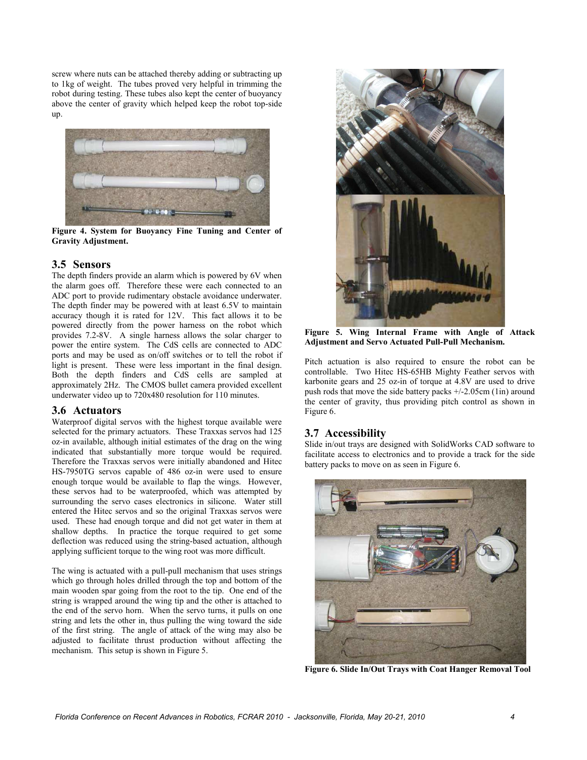screw where nuts can be attached thereby adding or subtracting up to 1kg of weight. The tubes proved very helpful in trimming the robot during testing. These tubes also kept the center of buoyancy above the center of gravity which helped keep the robot top-side up.



**Figure 4. System for Buoyancy Fine Tuning and Center of Gravity Adjustment.** 

#### **3.5 Sensors**

The depth finders provide an alarm which is powered by 6V when the alarm goes off. Therefore these were each connected to an ADC port to provide rudimentary obstacle avoidance underwater. The depth finder may be powered with at least 6.5V to maintain accuracy though it is rated for 12V. This fact allows it to be powered directly from the power harness on the robot which provides 7.2-8V. A single harness allows the solar charger to power the entire system. The CdS cells are connected to ADC ports and may be used as on/off switches or to tell the robot if light is present. These were less important in the final design. Both the depth finders and CdS cells are sampled at approximately 2Hz. The CMOS bullet camera provided excellent underwater video up to 720x480 resolution for 110 minutes.

#### **3.6 Actuators**

Waterproof digital servos with the highest torque available were selected for the primary actuators. These Traxxas servos had 125 oz-in available, although initial estimates of the drag on the wing indicated that substantially more torque would be required. Therefore the Traxxas servos were initially abandoned and Hitec HS-7950TG servos capable of 486 oz-in were used to ensure enough torque would be available to flap the wings. However, these servos had to be waterproofed, which was attempted by surrounding the servo cases electronics in silicone. Water still entered the Hitec servos and so the original Traxxas servos were used. These had enough torque and did not get water in them at shallow depths. In practice the torque required to get some deflection was reduced using the string-based actuation, although applying sufficient torque to the wing root was more difficult.

The wing is actuated with a pull-pull mechanism that uses strings which go through holes drilled through the top and bottom of the main wooden spar going from the root to the tip. One end of the string is wrapped around the wing tip and the other is attached to the end of the servo horn. When the servo turns, it pulls on one string and lets the other in, thus pulling the wing toward the side of the first string. The angle of attack of the wing may also be adjusted to facilitate thrust production without affecting the mechanism. This setup is shown in Figure 5.



**Figure 5. Wing Internal Frame with Angle of Attack Adjustment and Servo Actuated Pull-Pull Mechanism.** 

Pitch actuation is also required to ensure the robot can be controllable. Two Hitec HS-65HB Mighty Feather servos with karbonite gears and 25 oz-in of torque at 4.8V are used to drive push rods that move the side battery packs +/-2.05cm (1in) around the center of gravity, thus providing pitch control as shown in Figure 6.

### **3.7 Accessibility**

Slide in/out trays are designed with SolidWorks CAD software to facilitate access to electronics and to provide a track for the side battery packs to move on as seen in Figure 6.



**Figure 6. Slide In/Out Trays with Coat Hanger Removal Tool**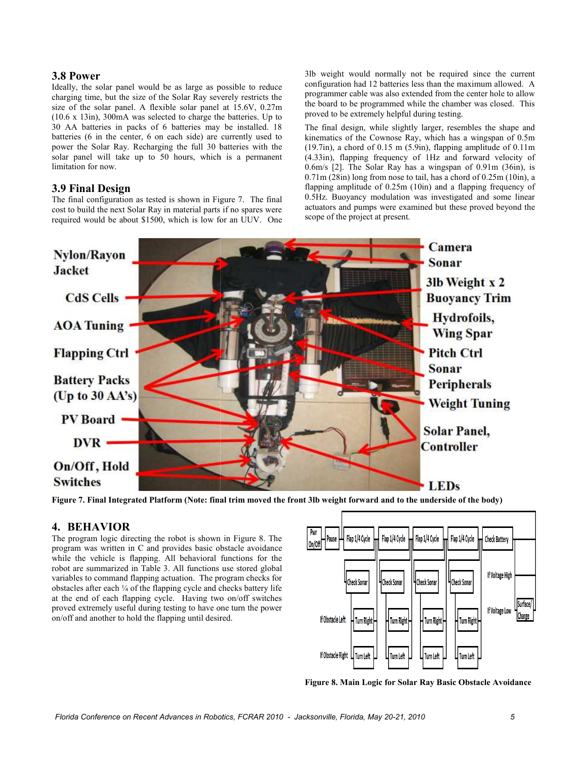#### **3.8 Power**

Ideally, the solar panel would be as large as possible to reduce charging time, but the size of the Solar Ray severely restricts the size of the solar panel. A flexible solar panel at 15.6V, 0.27m  $(10.6 \times 13)$ in), 300mA was selected to charge the batteries. Up to 30 AA batteries in packs of 6 batteries may be installed. 18 batteries  $(6 \text{ in the center}, 6 \text{ on each side})$  are currently used to power the Solar Ray. Recharging the full 30 batteries with the solar panel will take up to 50 hours, which is a permanent limitation for now.

#### **3.9 Final Design**

The final configuration as tested is shown in Figure 7. The final cost to build the next Solar Ray in material parts if no spares were required would be about \$1500, which is low for an UUV. One 3lb weight would normally not be required since the current configuration had 12 batteries less than the maximum allowed. A programmer cable was also extended from the center hole to allow the board to be programmed while the chamber was closed. This proved to be extremely helpful during testing.

The final design, while slightly larger, resembles the shape and kinematics of the Cownose Ray, which has a wingspan of 0.5m  $(19.7in)$ , a chord of 0.15 m  $(5.9in)$ , flapping amplitude of 0.11m (4.33in), flapping frequency of 1Hz and forward velocity of  $0.6$ m/s [2]. The Solar Ray has a wingspan of  $0.91$ m  $(36)$  is  $0.71$ m (28in) long from nose to tail, has a chord of  $0.25$ m (10in), a flapping amplitude of 0.25m (10in) and a flapping frequency of 0.5Hz. Buoyancy modulation was investigated and some linear actuators and pumps were examined but these proved beyond the scope of the project at present. %, a chord of 0.15 m (5.9in), flapping amplitude of 0.11m<br>flapping frequency of 1Hz and forward velocity of<br>[2]. The Solar Ray has a wingspan of 0.91m (36in), is



Figure 7. Final Integrated Platform (Note: final trim moved the front 3lb weight forward and to the underside of the body)

#### **4. BEHAVIOR**

The program logic directing the robot is shown in Figure 8. The program was written in C and provides basic obstacle avoidance program was written in C and provides basic obstacle avoidance<br>while the vehicle is flapping. All behavioral functions for the robot are summarized in Table 3. All functions use stored global variables to command flapping actuation. The program checks for obstacles after each  $\frac{1}{4}$  of the flapping cycle and checks battery life at the end of each flapping cycle. Having two on/off switches proved extremely useful during testing to have one turn the power on/off and another to hold the flapping until desired.



**Figure 8. Main Logic for Solar Ray Basic Obstacle Avoidance .**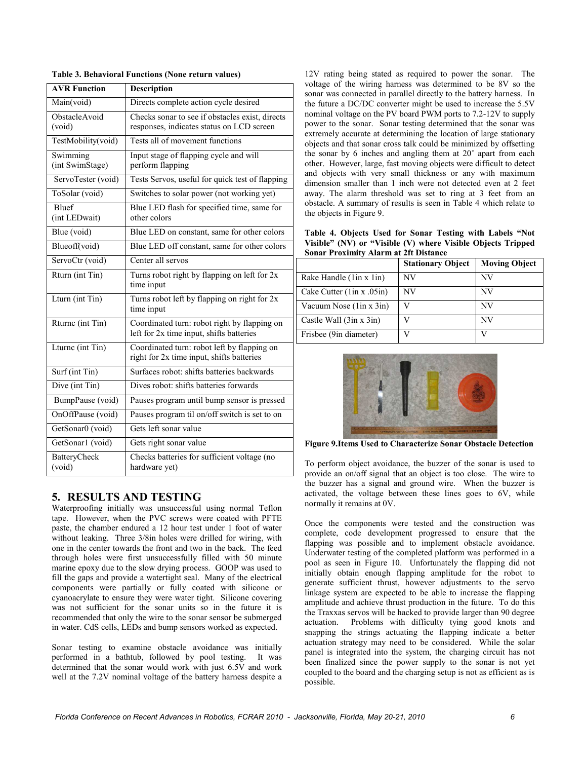| <b>AVR Function</b>           | <b>Description</b>                                                                           |
|-------------------------------|----------------------------------------------------------------------------------------------|
| Main(void)                    | Directs complete action cycle desired                                                        |
| ObstacleAvoid<br>(void)       | Checks sonar to see if obstacles exist, directs<br>responses, indicates status on LCD screen |
| TestMobility(void)            | Tests all of movement functions                                                              |
| Swimming<br>(int SwimStage)   | Input stage of flapping cycle and will<br>perform flapping                                   |
| ServoTester (void)            | Tests Servos, useful for quick test of flapping                                              |
| ToSolar (void)                | Switches to solar power (not working yet)                                                    |
| <b>Bluef</b><br>(int LEDwait) | Blue LED flash for specified time, same for<br>other colors                                  |
| Blue (void)                   | Blue LED on constant, same for other colors                                                  |
| Blueoff(void)                 | Blue LED off constant, same for other colors                                                 |
| ServoCtr (void)               | Center all servos                                                                            |
| Rturn (int Tin)               | Turns robot right by flapping on left for 2x<br>time input                                   |
| Lturn (int Tin)               | Turns robot left by flapping on right for 2x<br>time input                                   |
| Rturne (int Tin)              | Coordinated turn: robot right by flapping on<br>left for 2x time input, shifts batteries     |
| Lturne (int Tin)              | Coordinated turn: robot left by flapping on<br>right for 2x time input, shifts batteries     |
| Surf (int Tin)                | Surfaces robot: shifts batteries backwards                                                   |
| Dive (int Tin)                | Dives robot: shifts batteries forwards                                                       |
| BumpPause (void)              | Pauses program until bump sensor is pressed                                                  |
| OnOffPause (void)             | Pauses program til on/off switch is set to on                                                |
| GetSonar0 (void)              | Gets left sonar value                                                                        |
| GetSonar1 (void)              | Gets right sonar value                                                                       |
| <b>BatteryCheck</b><br>(void) | Checks batteries for sufficient voltage (no<br>hardware yet)                                 |

#### **Table 3. Behavioral Functions (None return values)**

#### **5. RESULTS AND TESTING**

Waterproofing initially was unsuccessful using normal Teflon tape. However, when the PVC screws were coated with PFTE paste, the chamber endured a 12 hour test under 1 foot of water without leaking. Three 3/8in holes were drilled for wiring, with one in the center towards the front and two in the back. The feed through holes were first unsuccessfully filled with 50 minute marine epoxy due to the slow drying process. GOOP was used to fill the gaps and provide a watertight seal. Many of the electrical components were partially or fully coated with silicone or cyanoacrylate to ensure they were water tight. Silicone covering was not sufficient for the sonar units so in the future it is recommended that only the wire to the sonar sensor be submerged in water. CdS cells, LEDs and bump sensors worked as expected.

Sonar testing to examine obstacle avoidance was initially performed in a bathtub, followed by pool testing. It was determined that the sonar would work with just 6.5V and work well at the 7.2V nominal voltage of the battery harness despite a

12V rating being stated as required to power the sonar. The voltage of the wiring harness was determined to be 8V so the sonar was connected in parallel directly to the battery harness. In the future a DC/DC converter might be used to increase the 5.5V nominal voltage on the PV board PWM ports to 7.2-12V to supply power to the sonar. Sonar testing determined that the sonar was extremely accurate at determining the location of large stationary objects and that sonar cross talk could be minimized by offsetting the sonar by 6 inches and angling them at 20˚ apart from each other. However, large, fast moving objects were difficult to detect and objects with very small thickness or any with maximum dimension smaller than 1 inch were not detected even at 2 feet away. The alarm threshold was set to ring at 3 feet from an obstacle. A summary of results is seen in Table 4 which relate to the objects in Figure 9.

**Table 4. Objects Used for Sonar Testing with Labels "Not Visible" (NV) or "Visible (V) where Visible Objects Tripped Sonar Proximity Alarm at 2ft Distance** 

|                             | <b>Stationary Object</b> | <b>Moving Object</b> |
|-----------------------------|--------------------------|----------------------|
| Rake Handle (1in x 1in)     | NV                       | NV                   |
| Cake Cutter $(1in x .05in)$ | NV                       | NV                   |
| Vacuum Nose (1 in x 3 in)   |                          | <b>NV</b>            |
| Castle Wall $(3in x 3in)$   |                          | NV                   |
| Frisbee (9in diameter)      |                          | V                    |



**Figure 9.Items Used to Characterize Sonar Obstacle Detection** 

To perform object avoidance, the buzzer of the sonar is used to provide an on/off signal that an object is too close. The wire to the buzzer has a signal and ground wire. When the buzzer is activated, the voltage between these lines goes to 6V, while normally it remains at 0V.

Once the components were tested and the construction was complete, code development progressed to ensure that the flapping was possible and to implement obstacle avoidance. Underwater testing of the completed platform was performed in a pool as seen in Figure 10. Unfortunately the flapping did not initially obtain enough flapping amplitude for the robot to generate sufficient thrust, however adjustments to the servo linkage system are expected to be able to increase the flapping amplitude and achieve thrust production in the future. To do this the Traxxas servos will be hacked to provide larger than 90 degree actuation. Problems with difficulty tying good knots and snapping the strings actuating the flapping indicate a better actuation strategy may need to be considered. While the solar panel is integrated into the system, the charging circuit has not been finalized since the power supply to the sonar is not yet coupled to the board and the charging setup is not as efficient as is possible.